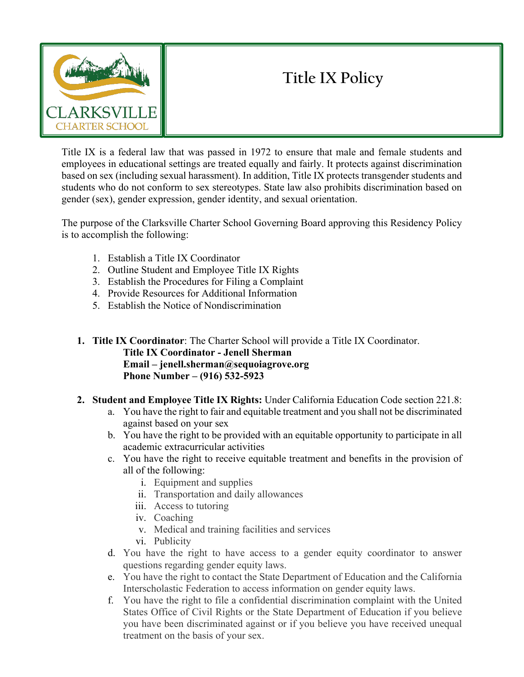

# **Title IX Policy**

Title IX is a federal law that was passed in 1972 to ensure that male and female students and employees in educational settings are treated equally and fairly. It protects against discrimination based on sex (including sexual harassment). In addition, Title IX protects transgender students and students who do not conform to sex stereotypes. State law also prohibits discrimination based on gender (sex), gender expression, gender identity, and sexual orientation.

The purpose of the Clarksville Charter School Governing Board approving this Residency Policy is to accomplish the following:

- 1. Establish a Title IX Coordinator
- 2. Outline Student and Employee Title IX Rights
- 3. Establish the Procedures for Filing a Complaint
- 4. Provide Resources for Additional Information
- 5. Establish the Notice of Nondiscrimination
- **1. Title IX Coordinator**: The Charter School will provide a Title IX Coordinator. **Title IX Coordinator - Jenell Sherman Email – jenell.sherman@sequoiagrove.org Phone Number – (916) 532-5923**
- **2. Student and Employee Title IX Rights:** Under California Education Code section 221.8:
	- a. You have the right to fair and equitable treatment and you shall not be discriminated against based on your sex
	- b. You have the right to be provided with an equitable opportunity to participate in all academic extracurricular activities
	- c. You have the right to receive equitable treatment and benefits in the provision of all of the following:
		- i. Equipment and supplies
		- ii. Transportation and daily allowances
		- iii. Access to tutoring
		- iv. Coaching
		- v. Medical and training facilities and services
		- vi. Publicity
	- d. You have the right to have access to a gender equity coordinator to answer questions regarding gender equity laws.
	- e. You have the right to contact the State Department of Education and the California Interscholastic Federation to access information on gender equity laws.
	- f. You have the right to file a confidential discrimination complaint with the United States Office of Civil Rights or the State Department of Education if you believe you have been discriminated against or if you believe you have received unequal treatment on the basis of your sex.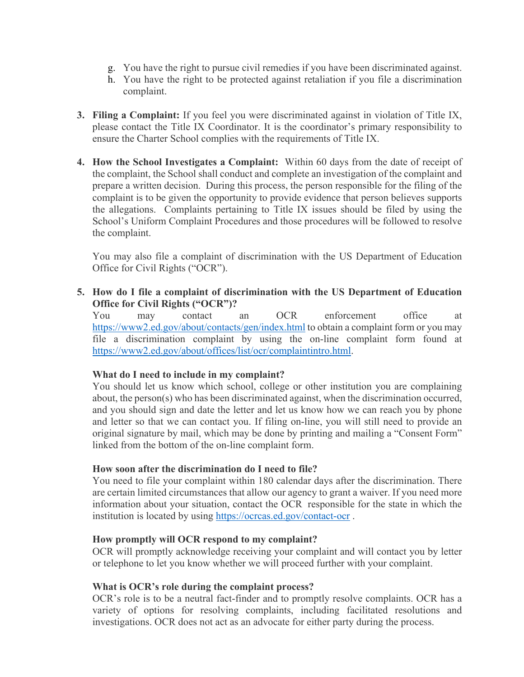- g. You have the right to pursue civil remedies if you have been discriminated against.
- h. You have the right to be protected against retaliation if you file a discrimination complaint.
- **3. Filing a Complaint:** If you feel you were discriminated against in violation of Title IX, please contact the Title IX Coordinator. It is the coordinator's primary responsibility to ensure the Charter School complies with the requirements of Title IX.
- **4. How the School Investigates a Complaint:** Within 60 days from the date of receipt of the complaint, the School shall conduct and complete an investigation of the complaint and prepare a written decision. During this process, the person responsible for the filing of the complaint is to be given the opportunity to provide evidence that person believes supports the allegations. Complaints pertaining to Title IX issues should be filed by using the School's Uniform Complaint Procedures and those procedures will be followed to resolve the complaint.

You may also file a complaint of discrimination with the US Department of Education Office for Civil Rights ("OCR").

**5. How do I file a complaint of discrimination with the US Department of Education Office for Civil Rights ("OCR")?**

You may contact an OCR enforcement office at <https://www2.ed.gov/about/contacts/gen/index.html> to obtain a complaint form or you may file a discrimination complaint by using the on-line complaint form found at [https://www2.ed.gov/about/offices/list/ocr/complaintintro.html.](https://www2.ed.gov/about/offices/list/ocr/complaintintro.html)

#### **What do I need to include in my complaint?**

You should let us know which school, college or other institution you are complaining about, the person(s) who has been discriminated against, when the discrimination occurred, and you should sign and date the letter and let us know how we can reach you by phone and letter so that we can contact you. If filing on-line, you will still need to provide an original signature by mail, which may be done by printing and mailing a "Consent Form" linked from the bottom of the on-line complaint form.

## **How soon after the discrimination do I need to file?**

You need to file your complaint within 180 calendar days after the discrimination. There are certain limited circumstances that allow our agency to grant a waiver. If you need more information about your situation, contact the OCR responsible for the state in which the institution is located by using<https://ocrcas.ed.gov/contact-ocr> .

#### **How promptly will OCR respond to my complaint?**

OCR will promptly acknowledge receiving your complaint and will contact you by letter or telephone to let you know whether we will proceed further with your complaint.

#### **What is OCR's role during the complaint process?**

OCR's role is to be a neutral fact-finder and to promptly resolve complaints. OCR has a variety of options for resolving complaints, including facilitated resolutions and investigations. OCR does not act as an advocate for either party during the process.